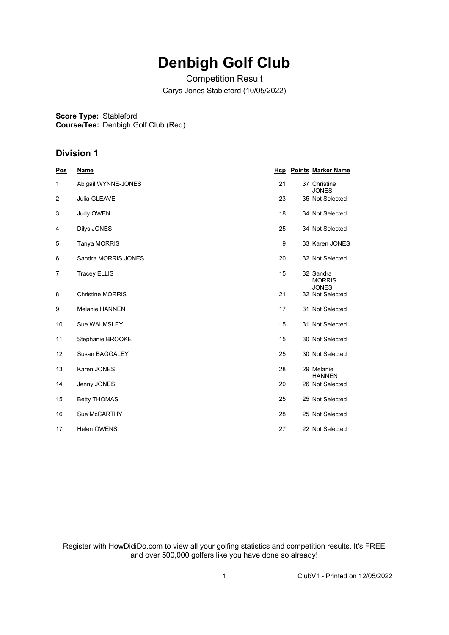# **Denbigh Golf Club**

Competition Result Carys Jones Stableford (10/05/2022)

**Score Type:** Stableford

**Course/Tee:** Denbigh Golf Club (Red)

### **Division 1**

| <u>Pos</u> | <b>Name</b>             | Hcp | <b>Points Marker Name</b>                  |
|------------|-------------------------|-----|--------------------------------------------|
| 1          | Abigail WYNNE-JONES     | 21  | 37 Christine<br><b>JONES</b>               |
| 2          | Julia GLEAVE            | 23  | 35 Not Selected                            |
| 3          | Judy OWEN               | 18  | 34 Not Selected                            |
| 4          | Dilys JONES             | 25  | 34 Not Selected                            |
| 5          | Tanya MORRIS            | 9   | 33 Karen JONES                             |
| 6          | Sandra MORRIS JONES     | 20  | 32 Not Selected                            |
| 7          | <b>Tracey ELLIS</b>     | 15  | 32 Sandra<br><b>MORRIS</b><br><b>JONES</b> |
| 8          | <b>Christine MORRIS</b> | 21  | 32 Not Selected                            |
| 9          | <b>Melanie HANNEN</b>   | 17  | 31 Not Selected                            |
| 10         | Sue WALMSLEY            | 15  | 31 Not Selected                            |
| 11         | Stephanie BROOKE        | 15  | 30 Not Selected                            |
| 12         | Susan BAGGALEY          | 25  | 30 Not Selected                            |
| 13         | Karen JONES             | 28  | 29 Melanie<br><b>HANNEN</b>                |
| 14         | Jenny JONES             | 20  | 26 Not Selected                            |
| 15         | <b>Betty THOMAS</b>     | 25  | 25 Not Selected                            |
| 16         | Sue McCARTHY            | 28  | 25 Not Selected                            |
| 17         | <b>Helen OWENS</b>      | 27  | 22 Not Selected                            |

Register with HowDidiDo.com to view all your golfing statistics and competition results. It's FREE and over 500,000 golfers like you have done so already!